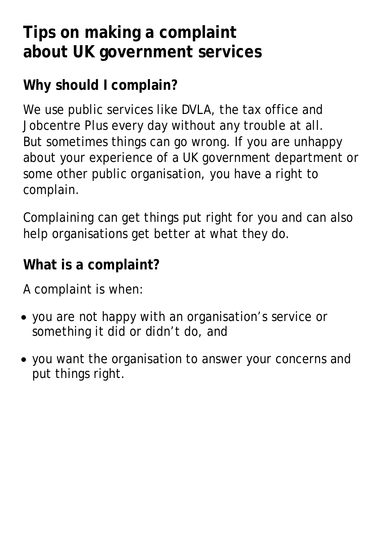## **Tips on making a complaint about UK government services**

## **Why should I complain?**

We use public services like DVLA, the tax office and Jobcentre Plus every day without any trouble at all. But sometimes things can go wrong. If you are unhappy about your experience of a UK government department or some other public organisation, you have a right to complain.

Complaining can get things put right for you and can also help organisations get better at what they do.

#### **What is a complaint?**

A complaint is when:

- you are not happy with an organisation's service or something it did or didn't do, and
- you want the organisation to answer your concerns and put things right.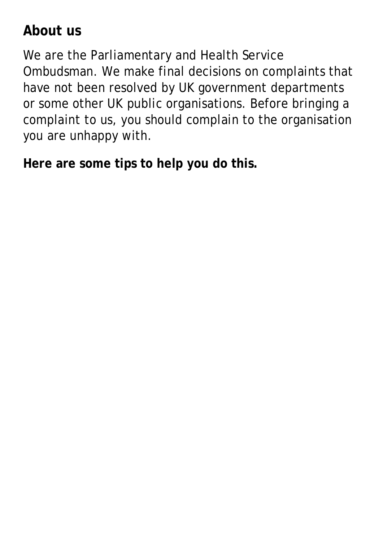## **About us**

We are the Parliamentary and Health Service Ombudsman. We make final decisions on complaints that have not been resolved by UK government departments or some other UK public organisations. Before bringing a complaint to us, you should complain to the organisation you are unhappy with.

**Here are some tips to help you do this.**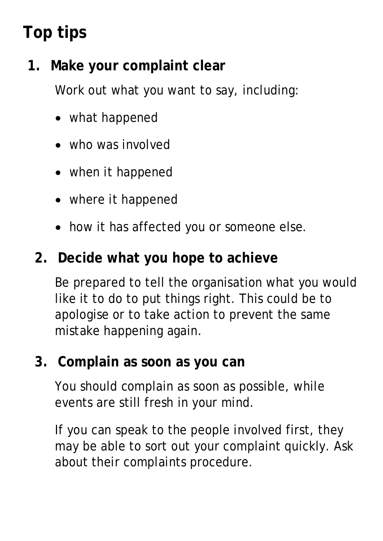# **Top tips**

## **1. Make your complaint clear**

Work out what you want to say, including:

- what happened
- who was involved
- when it happened
- where it happened
- how it has affected you or someone else.

#### **2. Decide what you hope to achieve**

Be prepared to tell the organisation what you would like it to do to put things right. This could be to apologise or to take action to prevent the same mistake happening again.

#### **3. Complain as soon as you can**

You should complain as soon as possible, while events are still fresh in your mind.

If you can speak to the people involved first, they may be able to sort out your complaint quickly. Ask about their complaints procedure.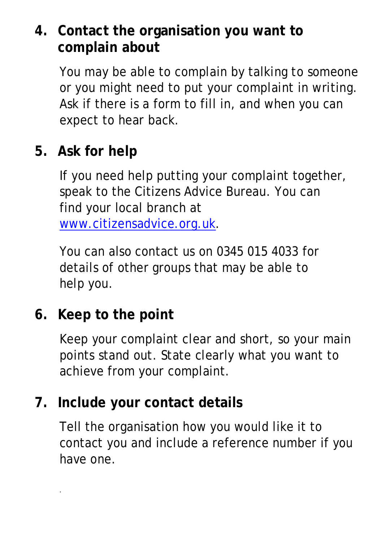## **4. Contact the organisation you want to complain about**

You may be able to complain by talking to someone or you might need to put your complaint in writing. Ask if there is a form to fill in, and when you can expect to hear back.

## **5. Ask for help**

If you need help putting your complaint together, speak to the Citizens Advice Bureau. You can find your local branch at [www.citizensadvice.org.uk.](http://www.citizensadvice.org.uk/)

You can also contact us on 0345 015 4033 for details of other groups that may be able to help you.

## **6. Keep to the point**

.

Keep your complaint clear and short, so your main points stand out. State clearly what you want to achieve from your complaint.

#### **7. Include your contact details**

Tell the organisation how you would like it to contact you and include a reference number if you have one.